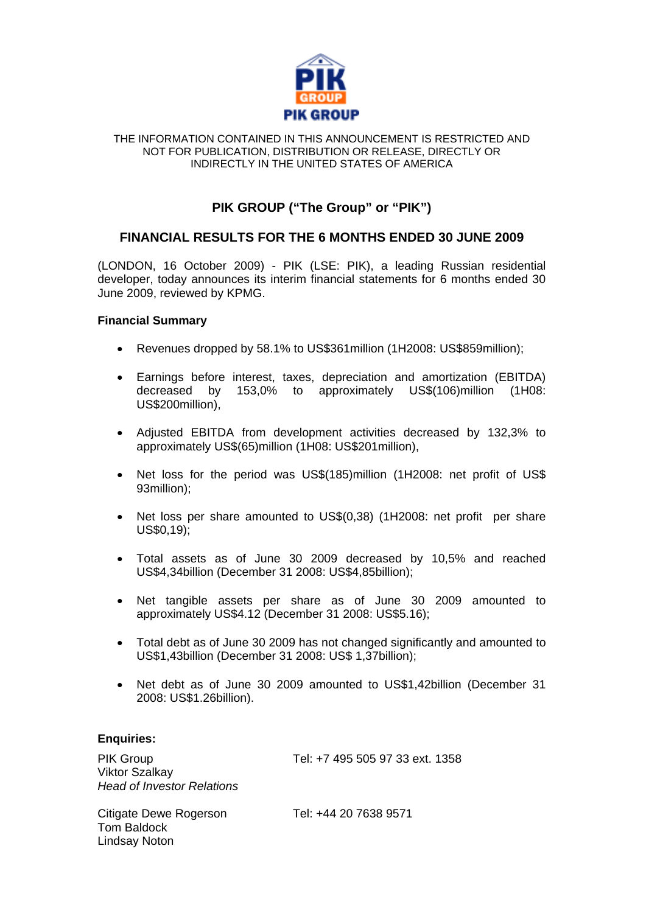

#### THE INFORMATION CONTAINED IN THIS ANNOUNCEMENT IS RESTRICTED AND NOT FOR PUBLICATION, DISTRIBUTION OR RELEASE, DIRECTLY OR INDIRECTLY IN THE UNITED STATES OF AMERICA

## **PIK GROUP ("The Group" or "PIK")**

### **FINANCIAL RESULTS FOR THE 6 MONTHS ENDED 30 JUNE 2009**

(LONDON, 16 October 2009) - PIK (LSE: PIK), a leading Russian residential developer, today announces its interim financial statements for 6 months ended 30 June 2009, reviewed by KPMG.

#### **Financial Summary**

- Revenues dropped by 58.1% to US\$361million (1H2008: US\$859million);
- Earnings before interest, taxes, depreciation and amortization (EBITDA) decreased by 153,0% to approximately US\$(106)million (1H08: US\$200million),
- Adjusted EBITDA from development activities decreased by 132,3% to approximately US\$(65)million (1H08: US\$201million),
- Net loss for the period was US\$(185)million (1H2008: net profit of US\$ 93million);
- Net loss per share amounted to US\$(0,38) (1H2008: net profit per share US\$0,19);
- Total assets as of June 30 2009 decreased by 10,5% and reached US\$4,34billion (December 31 2008: US\$4,85billion);
- Net tangible assets per share as of June 30 2009 amounted to approximately US\$4.12 (December 31 2008: US\$5.16);
- Total debt as of June 30 2009 has not changed significantly and amounted to US\$1,43billion (December 31 2008: US\$ 1,37billion);
- Net debt as of June 30 2009 amounted to US\$1,42billion (December 31 2008: US\$1.26billion).

#### **Enquiries:**

Lindsay Noton

PIK Group Tel: +7 495 505 97 33 ext. 1358 Viktor Szalkay *Head of Investor Relations*  Citigate Dewe Rogerson Tel: +44 20 7638 9571 Tom Baldock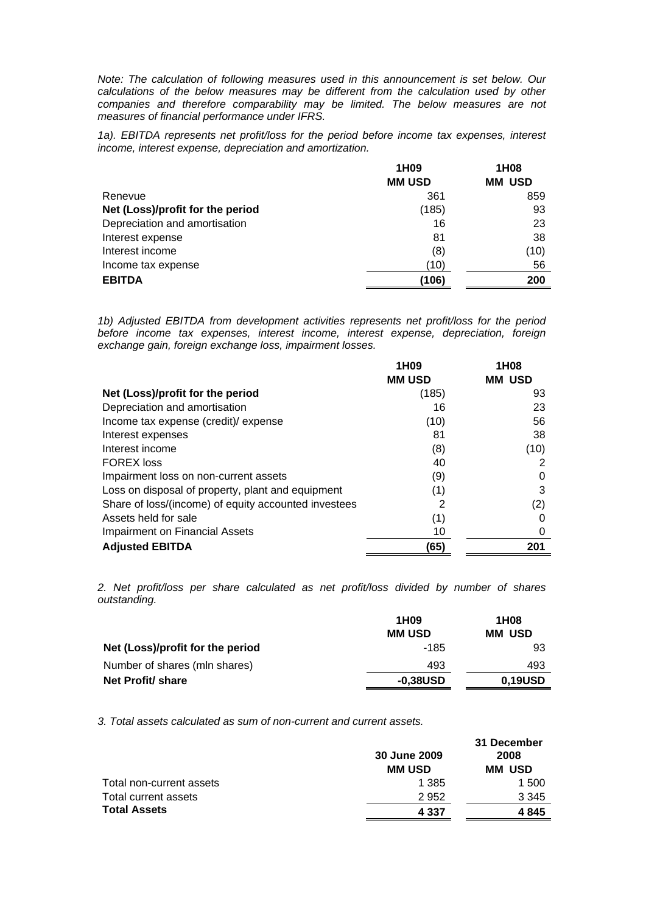*Note: The calculation of following measures used in this announcement is set below. Our calculations of the below measures may be different from the calculation used by other companies and therefore comparability may be limited. The below measures are not measures of financial performance under IFRS.* 

*1a). EBITDA represents net profit/loss for the period before income tax expenses, interest income, interest expense, depreciation and amortization.* 

|                                  | 1H <sub>09</sub> | 1H08          |
|----------------------------------|------------------|---------------|
|                                  | <b>MM USD</b>    | <b>MM USD</b> |
| Renevue                          | 361              | 859           |
| Net (Loss)/profit for the period | (185)            | 93            |
| Depreciation and amortisation    | 16               | 23            |
| Interest expense                 | 81               | 38            |
| Interest income                  | (8)              | (10)          |
| Income tax expense               | (10)             | 56            |
| <b>EBITDA</b>                    | (106)            | 200           |

*1b) Adjusted EBITDA from development activities represents net profit/loss for the period before income tax expenses, interest income, interest expense, depreciation, foreign exchange gain, foreign exchange loss, impairment losses.* 

|                                                      | 1H <sub>09</sub> | 1H <sub>08</sub> |
|------------------------------------------------------|------------------|------------------|
|                                                      | <b>MM USD</b>    | <b>MM USD</b>    |
| Net (Loss)/profit for the period                     | (185)            | 93               |
| Depreciation and amortisation                        | 16               | 23               |
| Income tax expense (credit)/ expense                 | (10)             | 56               |
| Interest expenses                                    | 81               | 38               |
| Interest income                                      | (8)              | (10)             |
| <b>FOREX loss</b>                                    | 40               |                  |
| Impairment loss on non-current assets                | (9)              |                  |
| Loss on disposal of property, plant and equipment    | (1)              | 3                |
| Share of loss/(income) of equity accounted investees | 2                | (2)              |
| Assets held for sale                                 | (1)              |                  |
| Impairment on Financial Assets                       | 10               |                  |
| <b>Adjusted EBITDA</b>                               | (65)             | 201              |

*2. Net profit/loss per share calculated as net profit/loss divided by number of shares outstanding.* 

|                                  | 1H <sub>09</sub> | 1H <sub>0</sub> 8 |
|----------------------------------|------------------|-------------------|
|                                  | <b>MM USD</b>    | <b>MM USD</b>     |
| Net (Loss)/profit for the period | -185             | 93                |
| Number of shares (mln shares)    | 493              | 493               |
| Net Profit/ share                | $-0,38USD$       | 0,19USD           |

*3. Total assets calculated as sum of non-current and current assets.* 

|                          | 30 June 2009  | 31 December<br>2008 |
|--------------------------|---------------|---------------------|
|                          | <b>MM USD</b> | <b>MM USD</b>       |
| Total non-current assets | 1 385         | 1 500               |
| Total current assets     | 2952          | 3 3 4 5             |
| <b>Total Assets</b>      | 4 3 3 7       | 4845                |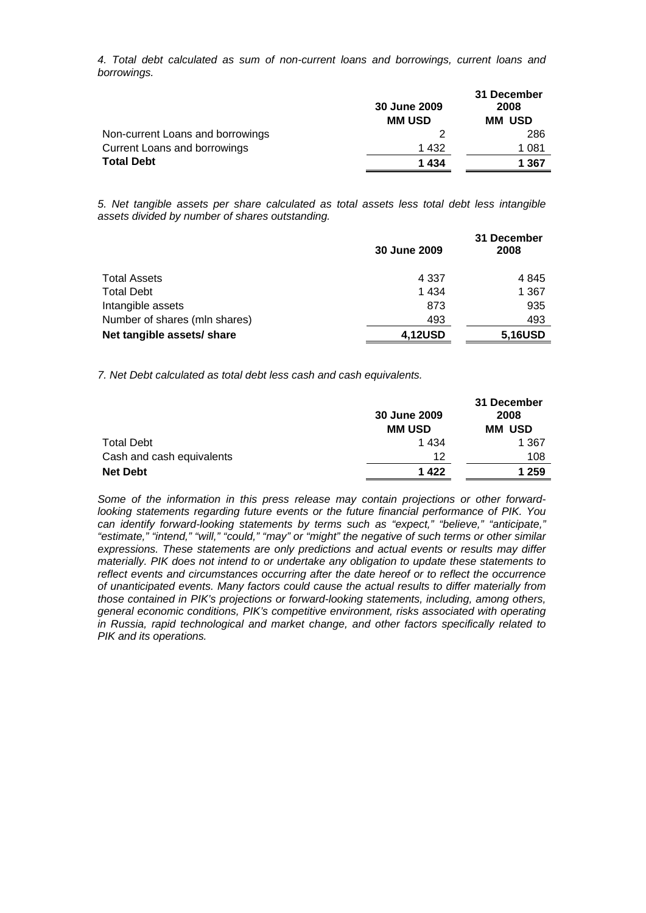*4. Total debt calculated as sum of non-current loans and borrowings, current loans and borrowings.* 

|                                  | 30 June 2009<br><b>MM USD</b> | 31 December<br>2008<br><b>MM USD</b> |
|----------------------------------|-------------------------------|--------------------------------------|
| Non-current Loans and borrowings |                               | 286                                  |
| Current Loans and borrowings     | 1 432                         | 1 081                                |
| <b>Total Debt</b>                | 1434                          | 1 367                                |

*5. Net tangible assets per share calculated as total assets less total debt less intangible assets divided by number of shares outstanding.* 

|                               | 30 June 2009 | 31 December<br>2008 |
|-------------------------------|--------------|---------------------|
| <b>Total Assets</b>           | 4 3 3 7      | 4 8 4 5             |
| <b>Total Debt</b>             | 1 4 3 4      | 1 3 6 7             |
| Intangible assets             | 873          | 935                 |
| Number of shares (mln shares) | 493          | 493                 |
| Net tangible assets/ share    | 4,12USD      | 5,16USD             |

*7. Net Debt calculated as total debt less cash and cash equivalents.* 

|                           | 30 June 2009<br><b>MM USD</b> | 31 December<br>2008<br><b>MM USD</b> |
|---------------------------|-------------------------------|--------------------------------------|
| <b>Total Debt</b>         | 1 4 3 4                       | 1 3 6 7                              |
| Cash and cash equivalents | 12                            | 108                                  |
| <b>Net Debt</b>           | 1422                          | 1 259                                |

*Some of the information in this press release may contain projections or other forwardlooking statements regarding future events or the future financial performance of PIK. You can identify forward-looking statements by terms such as "expect," "believe," "anticipate," "estimate," "intend," "will," "could," "may" or "might" the negative of such terms or other similar expressions. These statements are only predictions and actual events or results may differ materially. PIK does not intend to or undertake any obligation to update these statements to reflect events and circumstances occurring after the date hereof or to reflect the occurrence of unanticipated events. Many factors could cause the actual results to differ materially from those contained in PIK's projections or forward-looking statements, including, among others, general economic conditions, PIK's competitive environment, risks associated with operating in Russia, rapid technological and market change, and other factors specifically related to PIK and its operations.*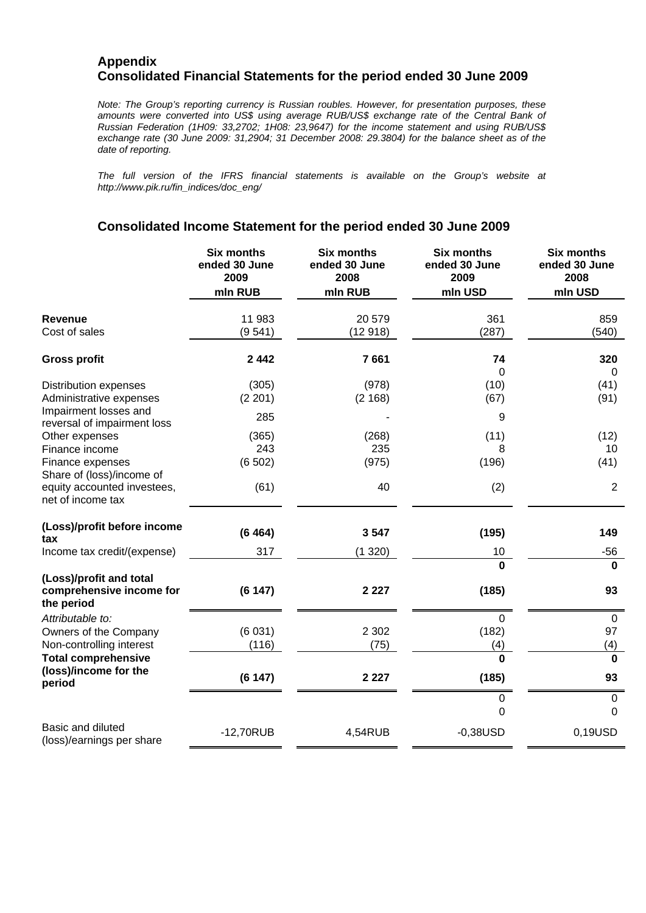#### **Appendix Consolidated Financial Statements for the period ended 30 June 2009**

*Note: The Group's reporting currency is Russian roubles. However, for presentation purposes, these amounts were converted into US\$ using average RUB/US\$ exchange rate of the Central Bank of Russian Federation (1H09: 33,2702; 1H08: 23,9647) for the income statement and using RUB/US\$ exchange rate (30 June 2009: 31,2904; 31 December 2008: 29.3804) for the balance sheet as of the date of reporting.* 

*The full version of the IFRS financial statements is available on the Group's website at http://www.pik.ru/fin\_indices/doc\_eng/* 

#### **Consolidated Income Statement for the period ended 30 June 2009**

|                                                                               | <b>Six months</b><br>ended 30 June<br>2009<br>mln RUB | <b>Six months</b><br>ended 30 June<br>2008<br>mln RUB | <b>Six months</b><br>ended 30 June<br>2009<br>mln USD | <b>Six months</b><br>ended 30 June<br>2008<br>mln USD |
|-------------------------------------------------------------------------------|-------------------------------------------------------|-------------------------------------------------------|-------------------------------------------------------|-------------------------------------------------------|
| <b>Revenue</b><br>Cost of sales                                               | 11 983<br>(9541)                                      | 20 579<br>(12918)                                     | 361<br>(287)                                          | 859<br>(540)                                          |
| <b>Gross profit</b>                                                           | 2 4 4 2                                               | 7661                                                  | 74                                                    | 320                                                   |
| <b>Distribution expenses</b><br>Administrative expenses                       | (305)<br>(2 201)                                      | (978)<br>(2 168)                                      | 0<br>(10)<br>(67)                                     | $\Omega$<br>(41)<br>(91)                              |
| Impairment losses and<br>reversal of impairment loss                          | 285                                                   |                                                       | 9                                                     |                                                       |
| Other expenses<br>Finance income<br>Finance expenses                          | (365)<br>243<br>(6502)                                | (268)<br>235<br>(975)                                 | (11)<br>8<br>(196)                                    | (12)<br>10<br>(41)                                    |
| Share of (loss)/income of<br>equity accounted investees,<br>net of income tax | (61)                                                  | 40                                                    | (2)                                                   | $\overline{2}$                                        |
| (Loss)/profit before income<br>tax                                            | (6464)                                                | 3547                                                  | (195)                                                 | 149                                                   |
| Income tax credit/(expense)                                                   | 317                                                   | (1320)                                                | 10                                                    | $-56$                                                 |
| (Loss)/profit and total<br>comprehensive income for<br>the period             | (6147)                                                | 2 2 2 7                                               | <sup>0</sup><br>(185)                                 | $\bf{0}$<br>93                                        |
| Attributable to:<br>Owners of the Company<br>Non-controlling interest         | (6031)<br>(116)                                       | 2 3 0 2<br>(75)                                       | 0<br>(182)<br>(4)                                     | $\boldsymbol{0}$<br>97<br>(4)                         |
| <b>Total comprehensive</b><br>(loss)/income for the<br>period                 | (6147)                                                | 2 2 2 7                                               | $\Omega$<br>(185)                                     | $\bf{0}$<br>93                                        |
|                                                                               |                                                       |                                                       | $\pmb{0}$<br>$\Omega$                                 | $\pmb{0}$<br>$\overline{0}$                           |
| Basic and diluted<br>(loss)/earnings per share                                | $-12,70RUB$                                           | 4,54RUB                                               | $-0,38USD$                                            | 0,19USD                                               |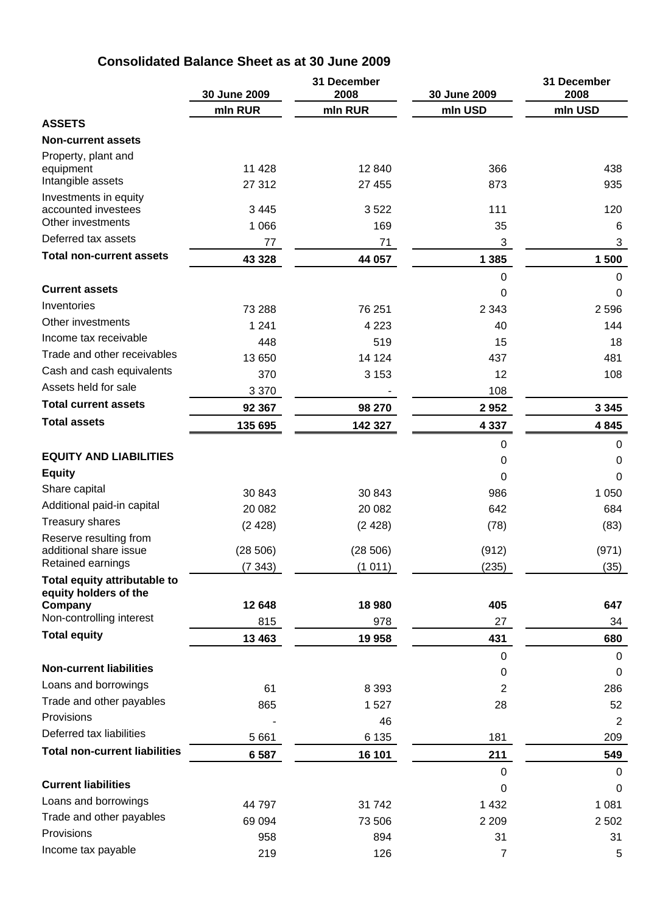## **Consolidated Balance Sheet as at 30 June 2009**

|                                                       | 30 June 2009 | 31 December<br>2008 | 30 June 2009   | 31 December<br>2008 |
|-------------------------------------------------------|--------------|---------------------|----------------|---------------------|
|                                                       | mln RUR      | mln RUR             | mln USD        | mln USD             |
| <b>ASSETS</b>                                         |              |                     |                |                     |
| <b>Non-current assets</b>                             |              |                     |                |                     |
| Property, plant and<br>equipment                      | 11 4 28      | 12 840              | 366            | 438                 |
| Intangible assets                                     | 27 312       | 27 455              | 873            | 935                 |
| Investments in equity<br>accounted investees          | 3 4 4 5      | 3522                | 111            | 120                 |
| Other investments                                     | 1 0 6 6      | 169                 | 35             | 6                   |
| Deferred tax assets                                   | 77           | 71                  | 3              | 3                   |
| <b>Total non-current assets</b>                       | 43 3 28      | 44 057              | 1 3 8 5        | 1 500               |
| <b>Current assets</b>                                 |              |                     | 0<br>0         | $\mathbf 0$<br>0    |
| Inventories                                           | 73 288       | 76 251              | 2 3 4 3        | 2596                |
| Other investments                                     | 1 2 4 1      | 4 2 2 3             | 40             | 144                 |
| Income tax receivable                                 | 448          | 519                 | 15             | 18                  |
| Trade and other receivables                           | 13 650       | 14 124              | 437            | 481                 |
| Cash and cash equivalents                             | 370          | 3 1 5 3             | 12             | 108                 |
| Assets held for sale                                  | 3 3 7 0      |                     | 108            |                     |
| <b>Total current assets</b>                           | 92 367       | 98 270              | 2952           | 3 3 4 5             |
| <b>Total assets</b>                                   | 135 695      | 142 327             | 4 3 3 7        | 4845                |
|                                                       |              |                     | 0              | 0                   |
| <b>EQUITY AND LIABILITIES</b>                         |              |                     | 0              | 0                   |
| <b>Equity</b>                                         |              |                     | 0              | 0                   |
| Share capital                                         | 30 843       | 30 843              | 986            | 1 0 5 0             |
| Additional paid-in capital                            | 20 082       | 20 082              | 642            | 684                 |
| <b>Treasury shares</b>                                | (2428)       | (2428)              | (78)           | (83)                |
| Reserve resulting from                                |              |                     |                |                     |
| additional share issue                                | (28506)      | (28506)             | (912)          | (971)               |
| Retained earnings                                     | (7 343)      | (1011)              | (235)          | (35)                |
| Total equity attributable to<br>equity holders of the |              |                     |                |                     |
| Company<br>Non-controlling interest                   | 12 648       | 18 980              | 405            | 647                 |
| <b>Total equity</b>                                   | 815          | 978                 | 27             | 34                  |
|                                                       | 13 4 63      | 19 958              | 431            | 680                 |
| <b>Non-current liabilities</b>                        |              |                     | 0              | 0                   |
| Loans and borrowings                                  |              |                     | 0              | 0                   |
| Trade and other payables                              | 61<br>865    | 8 3 9 3<br>1527     | 2              | 286                 |
| Provisions                                            |              | 46                  | 28             | 52<br>2             |
| Deferred tax liabilities                              | 5 6 6 1      | 6 1 3 5             | 181            | 209                 |
| <b>Total non-current liabilities</b>                  |              |                     |                |                     |
|                                                       | 6 5 8 7      | 16 101              | 211            | 549                 |
| <b>Current liabilities</b>                            |              |                     | 0<br>0         | $\mathbf 0$<br>0    |
| Loans and borrowings                                  | 44 797       | 31742               | 1 4 3 2        | 1 0 8 1             |
| Trade and other payables                              | 69 094       | 73 506              | 2 2 0 9        | 2 5 0 2             |
| Provisions                                            | 958          | 894                 | 31             | 31                  |
| Income tax payable                                    | 219          | 126                 | $\overline{7}$ | $\overline{5}$      |
|                                                       |              |                     |                |                     |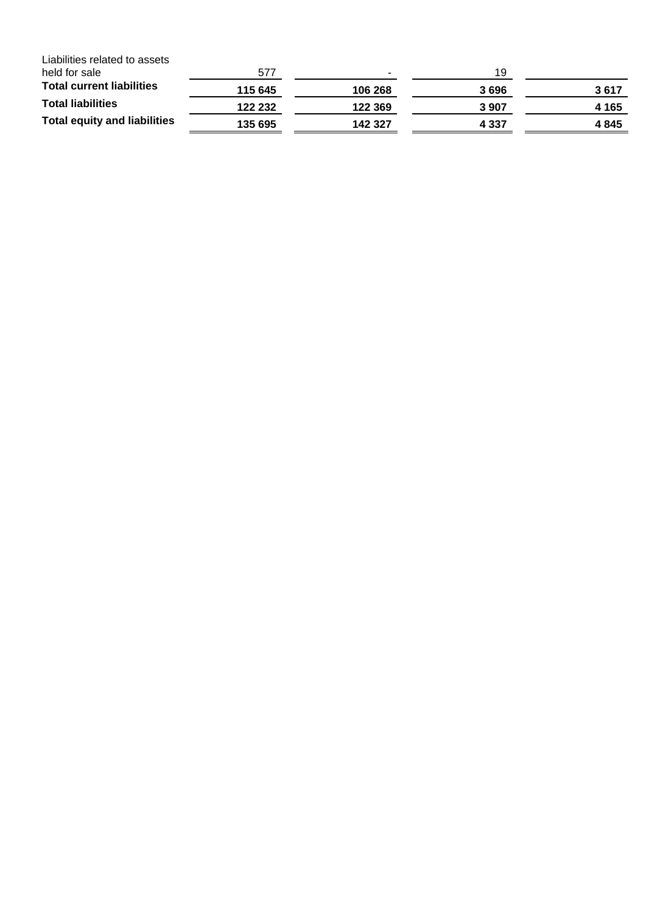| Liabilities related to assets       |         |         |         |       |
|-------------------------------------|---------|---------|---------|-------|
| held for sale                       | 577     | н.      | 19      |       |
| <b>Total current liabilities</b>    | 115 645 | 106 268 | 3696    | 3617  |
| <b>Total liabilities</b>            | 122 232 | 122 369 | 3907    | 4 165 |
| <b>Total equity and liabilities</b> | 135 695 | 142 327 | 4 3 3 7 | 4845  |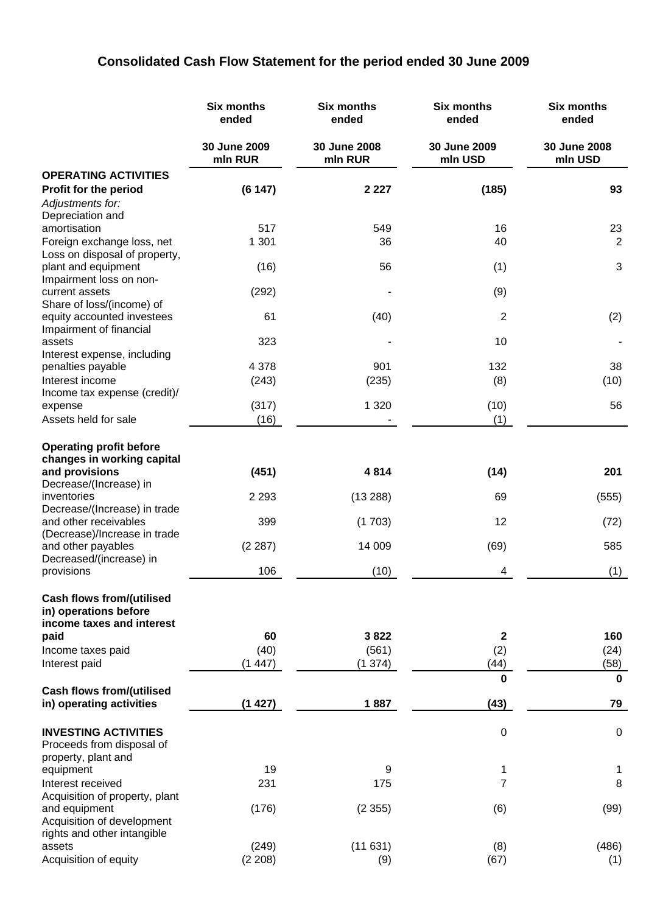# **Consolidated Cash Flow Statement for the period ended 30 June 2009**

|                                                           | <b>Six months</b><br>ended | <b>Six months</b><br>ended | <b>Six months</b><br>ended | <b>Six months</b><br>ended |
|-----------------------------------------------------------|----------------------------|----------------------------|----------------------------|----------------------------|
|                                                           | 30 June 2009<br>mln RUR    | 30 June 2008<br>mln RUR    | 30 June 2009<br>mln USD    | 30 June 2008<br>mln USD    |
| <b>OPERATING ACTIVITIES</b>                               |                            |                            |                            |                            |
| <b>Profit for the period</b>                              | (6147)                     | 2 2 2 7                    | (185)                      | 93                         |
| Adjustments for:<br>Depreciation and                      |                            |                            |                            |                            |
| amortisation                                              | 517                        | 549                        | 16                         | 23                         |
| Foreign exchange loss, net                                | 1 3 0 1                    | 36                         | 40                         | 2                          |
| Loss on disposal of property,                             |                            |                            |                            |                            |
| plant and equipment                                       | (16)                       | 56                         | (1)                        | 3                          |
| Impairment loss on non-                                   |                            |                            |                            |                            |
| current assets<br>Share of loss/(income) of               | (292)                      |                            | (9)                        |                            |
| equity accounted investees                                | 61                         | (40)                       | 2                          | (2)                        |
| Impairment of financial                                   |                            |                            |                            |                            |
| assets                                                    | 323                        |                            | 10                         |                            |
| Interest expense, including                               |                            |                            |                            |                            |
| penalties payable                                         | 4 3 7 8                    | 901                        | 132                        | 38                         |
| Interest income                                           | (243)                      | (235)                      | (8)                        | (10)                       |
| Income tax expense (credit)/<br>expense                   | (317)                      | 1 3 2 0                    | (10)                       | 56                         |
| Assets held for sale                                      | (16)                       |                            | (1)                        |                            |
|                                                           |                            |                            |                            |                            |
| <b>Operating profit before</b>                            |                            |                            |                            |                            |
| changes in working capital                                |                            |                            |                            |                            |
| and provisions                                            | (451)                      | 4814                       | (14)                       | 201                        |
| Decrease/(Increase) in                                    |                            |                            |                            |                            |
| inventories                                               | 2 2 9 3                    | (13 288)                   | 69                         | (555)                      |
| Decrease/(Increase) in trade<br>and other receivables     | 399                        | (1703)                     | 12                         | (72)                       |
| (Decrease)/Increase in trade                              |                            |                            |                            |                            |
| and other payables                                        | (2 287)                    | 14 009                     | (69)                       | 585                        |
| Decreased/(increase) in                                   |                            |                            |                            |                            |
| provisions                                                | 106                        | (10)                       | 4                          | (1)                        |
| <b>Cash flows from/(utilised</b><br>in) operations before |                            |                            |                            |                            |
| income taxes and interest                                 |                            |                            |                            |                            |
| paid                                                      | 60                         | 3822                       | $\mathbf 2$                | 160                        |
| Income taxes paid                                         | (40)                       | (561)                      | (2)                        | (24)                       |
| Interest paid                                             | (1447)                     | (1374)                     | (44)                       | (58)                       |
|                                                           |                            |                            | 0                          | $\mathbf 0$                |
| <b>Cash flows from/(utilised</b>                          |                            |                            |                            |                            |
| in) operating activities                                  | (1427)                     | 1887                       | (43)                       | 79                         |
| <b>INVESTING ACTIVITIES</b>                               |                            |                            |                            | $\mathbf 0$                |
| Proceeds from disposal of                                 |                            |                            | 0                          |                            |
| property, plant and                                       |                            |                            |                            |                            |
| equipment                                                 | 19                         | 9                          | 1                          | 1                          |
| Interest received                                         | 231                        | 175                        | 7                          | 8                          |
| Acquisition of property, plant                            |                            |                            |                            |                            |
| and equipment                                             | (176)                      | (2355)                     | (6)                        | (99)                       |
| Acquisition of development                                |                            |                            |                            |                            |
| rights and other intangible<br>assets                     | (249)                      | (11631)                    | (8)                        | (486)                      |
| Acquisition of equity                                     | (2 208)                    | (9)                        | (67)                       | (1)                        |
|                                                           |                            |                            |                            |                            |